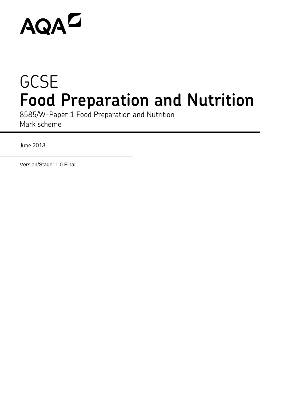# **AQAZ**

# **GCSE Food Preparation and Nutrition**

8585/W-Paper 1 Food Preparation and Nutrition Mark scheme

June 2018

Version/Stage: 1.0 Final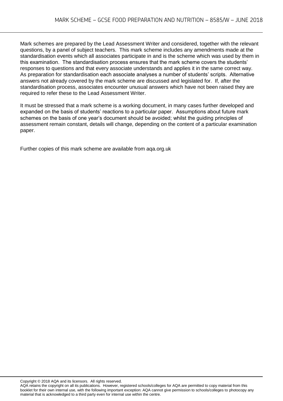Mark schemes are prepared by the Lead Assessment Writer and considered, together with the relevant questions, by a panel of subject teachers. This mark scheme includes any amendments made at the standardisation events which all associates participate in and is the scheme which was used by them in this examination. The standardisation process ensures that the mark scheme covers the students' responses to questions and that every associate understands and applies it in the same correct way. As preparation for standardisation each associate analyses a number of students' scripts. Alternative answers not already covered by the mark scheme are discussed and legislated for. If, after the standardisation process, associates encounter unusual answers which have not been raised they are required to refer these to the Lead Assessment Writer.

It must be stressed that a mark scheme is a working document, in many cases further developed and expanded on the basis of students' reactions to a particular paper. Assumptions about future mark schemes on the basis of one year's document should be avoided; whilst the guiding principles of assessment remain constant, details will change, depending on the content of a particular examination paper.

Further copies of this mark scheme are available from aqa.org.uk

Copyright © 2018 AQA and its licensors. All rights reserved.

AQA retains the copyright on all its publications. However, registered schools/colleges for AQA are permitted to copy material from this booklet for their own internal use, with the following important exception: AQA cannot give permission to schools/colleges to photocopy any material that is acknowledged to a third party even for internal use within the centre.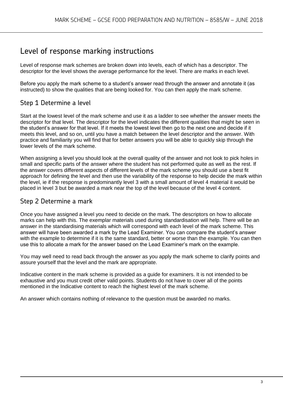## Level of response marking instructions

Level of response mark schemes are broken down into levels, each of which has a descriptor. The descriptor for the level shows the average performance for the level. There are marks in each level.

Before you apply the mark scheme to a student's answer read through the answer and annotate it (as instructed) to show the qualities that are being looked for. You can then apply the mark scheme.

### Step 1 Determine a level

Start at the lowest level of the mark scheme and use it as a ladder to see whether the answer meets the descriptor for that level. The descriptor for the level indicates the different qualities that might be seen in the student's answer for that level. If it meets the lowest level then go to the next one and decide if it meets this level, and so on, until you have a match between the level descriptor and the answer. With practice and familiarity you will find that for better answers you will be able to quickly skip through the lower levels of the mark scheme.

When assigning a level you should look at the overall quality of the answer and not look to pick holes in small and specific parts of the answer where the student has not performed quite as well as the rest. If the answer covers different aspects of different levels of the mark scheme you should use a best fit approach for defining the level and then use the variability of the response to help decide the mark within the level, ie if the response is predominantly level 3 with a small amount of level 4 material it would be placed in level 3 but be awarded a mark near the top of the level because of the level 4 content.

#### Step 2 Determine a mark

Once you have assigned a level you need to decide on the mark. The descriptors on how to allocate marks can help with this. The exemplar materials used during standardisation will help. There will be an answer in the standardising materials which will correspond with each level of the mark scheme. This answer will have been awarded a mark by the Lead Examiner. You can compare the student's answer with the example to determine if it is the same standard, better or worse than the example. You can then use this to allocate a mark for the answer based on the Lead Examiner's mark on the example.

You may well need to read back through the answer as you apply the mark scheme to clarify points and assure yourself that the level and the mark are appropriate.

Indicative content in the mark scheme is provided as a guide for examiners. It is not intended to be exhaustive and you must credit other valid points. Students do not have to cover all of the points mentioned in the Indicative content to reach the highest level of the mark scheme.

An answer which contains nothing of relevance to the question must be awarded no marks.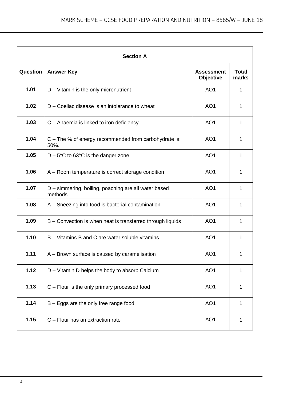|          | <b>Section A</b>                                                |                                |                       |
|----------|-----------------------------------------------------------------|--------------------------------|-----------------------|
| Question | <b>Answer Key</b>                                               | <b>Assessment</b><br>Objective | <b>Total</b><br>marks |
| 1.01     | D - Vitamin is the only micronutrient                           | AO <sub>1</sub>                | 1                     |
| 1.02     | D – Coeliac disease is an intolerance to wheat                  | AO <sub>1</sub>                | 1                     |
| 1.03     | C - Anaemia is linked to iron deficiency                        | AO <sub>1</sub>                | 1                     |
| 1.04     | $C$ – The % of energy recommended from carbohydrate is:<br>50%. | AO <sub>1</sub>                | 1                     |
| 1.05     | $D - 5^{\circ}C$ to 63 $^{\circ}C$ is the danger zone           | AO <sub>1</sub>                | 1                     |
| 1.06     | A – Room temperature is correct storage condition               | AO <sub>1</sub>                | 1                     |
| 1.07     | D - simmering, boiling, poaching are all water based<br>methods | AO <sub>1</sub>                | 1                     |
| 1.08     | A - Sneezing into food is bacterial contamination               | AO <sub>1</sub>                | 1                     |
| 1.09     | B – Convection is when heat is transferred through liquids      | AO <sub>1</sub>                | 1                     |
| 1.10     | B - Vitamins B and C are water soluble vitamins                 | AO <sub>1</sub>                | 1                     |
| 1.11     | A - Brown surface is caused by caramelisation                   | AO <sub>1</sub>                | 1                     |
| 1.12     | D - Vitamin D helps the body to absorb Calcium                  | AO <sub>1</sub>                | 1                     |
| 1.13     | C - Flour is the only primary processed food                    | AO <sub>1</sub>                | 1                     |
| 1.14     | B - Eggs are the only free range food                           | AO <sub>1</sub>                | 1                     |
| 1.15     | C - Flour has an extraction rate                                | AO <sub>1</sub>                | 1                     |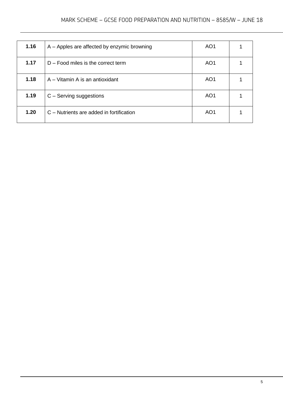| 1.16 | A – Apples are affected by enzymic browning | AO <sub>1</sub> |  |
|------|---------------------------------------------|-----------------|--|
| 1.17 | $D$ – Food miles is the correct term        | AO <sub>1</sub> |  |
| 1.18 | A – Vitamin A is an antioxidant             | AO <sub>1</sub> |  |
| 1.19 | C - Serving suggestions                     | AO <sub>1</sub> |  |
| 1.20 | C – Nutrients are added in fortification    | AO <sub>1</sub> |  |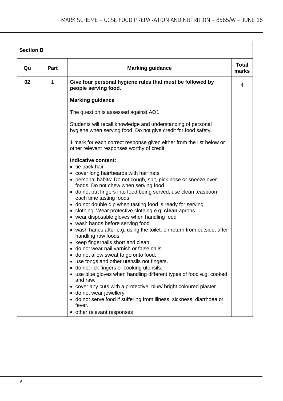| Qu | <b>Part</b> | <b>Marking guidance</b>                                                                                                        | <b>Total</b><br>marks |
|----|-------------|--------------------------------------------------------------------------------------------------------------------------------|-----------------------|
| 02 | 1           | Give four personal hygiene rules that must be followed by<br>people serving food.                                              | 4                     |
|    |             | <b>Marking guidance</b>                                                                                                        |                       |
|    |             | The question is assessed against AO1                                                                                           |                       |
|    |             | Students will recall knowledge and understanding of personal<br>hygiene when serving food. Do not give credit for food safety. |                       |
|    |             | 1 mark for each correct response given either from the list below or<br>other relevant responses worthy of credit.             |                       |
|    |             | Indicative content:                                                                                                            |                       |
|    |             | • tie back hair                                                                                                                |                       |
|    |             | • cover long hair/beards with hair nets                                                                                        |                       |
|    |             | • personal habits: Do not cough, spit, pick nose or sneeze over                                                                |                       |
|    |             | foods. Do not chew when serving food.                                                                                          |                       |
|    |             | • do not put fingers into food being served, use clean teaspoon<br>each time tasting foods                                     |                       |
|    |             | • do not double dip when tasting food is ready for serving                                                                     |                       |
|    |             | • clothing: Wear protective clothing e.g. clean aprons                                                                         |                       |
|    |             | • wear disposable gloves when handling food                                                                                    |                       |
|    |             | • wash hands before serving food                                                                                               |                       |
|    |             | • wash hands after e.g. using the toilet, on return from outside, after                                                        |                       |
|    |             | handling raw foods                                                                                                             |                       |
|    |             | • keep fingernails short and clean<br>• do not wear nail varnish or false nails                                                |                       |
|    |             | • do not allow sweat to go onto food.                                                                                          |                       |
|    |             | • use tongs and other utensils not fingers.                                                                                    |                       |
|    |             | · do not lick fingers or cooking utensils.                                                                                     |                       |
|    |             | • use blue gloves when handling different types of food e.g. cooked<br>and raw.                                                |                       |
|    |             | • cover any cuts with a protective, blue/ bright coloured plaster                                                              |                       |
|    |             | • do not wear jewellery                                                                                                        |                       |
|    |             | • do not serve food if suffering from illness, sickness, diarrhoea or<br>fever.                                                |                       |
|    |             | • other relevant responses                                                                                                     |                       |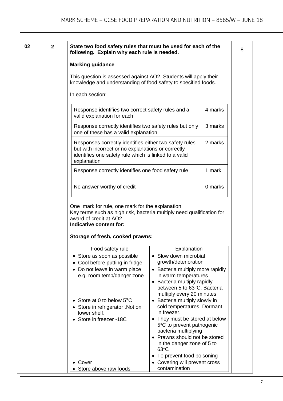|  | State two food safety rules that must be used for each of the<br>following. Explain why each rule is needed.                                                                         |                                                                                                                                                                                                                                                                                                                |         |
|--|--------------------------------------------------------------------------------------------------------------------------------------------------------------------------------------|----------------------------------------------------------------------------------------------------------------------------------------------------------------------------------------------------------------------------------------------------------------------------------------------------------------|---------|
|  | <b>Marking guidance</b>                                                                                                                                                              |                                                                                                                                                                                                                                                                                                                |         |
|  | This question is assessed against AO2. Students will apply their<br>knowledge and understanding of food safety to specified foods.                                                   |                                                                                                                                                                                                                                                                                                                |         |
|  | In each section:                                                                                                                                                                     |                                                                                                                                                                                                                                                                                                                |         |
|  | Response identifies two correct safety rules and a<br>valid explanation for each                                                                                                     |                                                                                                                                                                                                                                                                                                                | 4 marks |
|  | Response correctly identifies two safety rules but only<br>one of these has a valid explanation                                                                                      |                                                                                                                                                                                                                                                                                                                | 3 marks |
|  | Responses correctly identifies either two safety rules<br>but with incorrect or no explanations or correctly<br>identifies one safety rule which is linked to a valid<br>explanation |                                                                                                                                                                                                                                                                                                                | 2 marks |
|  | Response correctly identifies one food safety rule                                                                                                                                   |                                                                                                                                                                                                                                                                                                                | 1 mark  |
|  | No answer worthy of credit                                                                                                                                                           |                                                                                                                                                                                                                                                                                                                | 0 marks |
|  | One mark for rule, one mark for the explanation<br>Key terms such as high risk, bacteria multiply need qualification for<br>award of credit at AO2                                   |                                                                                                                                                                                                                                                                                                                |         |
|  | Indicative content for:<br>Storage of fresh, cooked prawns:                                                                                                                          |                                                                                                                                                                                                                                                                                                                |         |
|  | Food safety rule                                                                                                                                                                     | Explanation                                                                                                                                                                                                                                                                                                    |         |
|  | Store as soon as possible                                                                                                                                                            | • Slow down microbial                                                                                                                                                                                                                                                                                          |         |
|  | Cool before putting in fridge<br>• Do not leave in warm place<br>e.g. room temp/danger zone                                                                                          | growth/deterioration<br>• Bacteria multiply more rapidly<br>in warm temperatures<br>• Bacteria multiply rapidly<br>between 5 to 63°C. Bacteria                                                                                                                                                                 |         |
|  | • Store at 0 to below 5°C<br>Store in refrigerator .Not on<br>lower shelf.<br>Store in freezer -18C<br>$\bullet$                                                                     | multiply every 20 minutes<br>• Bacteria multiply slowly in<br>cold temperatures. Dormant<br>in freezer.<br>• They must be stored at below<br>5°C to prevent pathogenic<br>bacteria multiplying<br>• Prawns should not be stored<br>in the danger zone of 5 to<br>$63^{\circ}$ C<br>• To prevent food poisoning |         |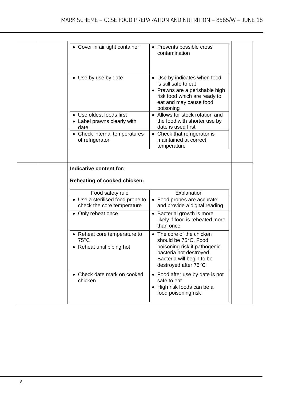| • Cover in air tight container                                              | • Prevents possible cross<br>contamination                                                                                                                    |  |
|-----------------------------------------------------------------------------|---------------------------------------------------------------------------------------------------------------------------------------------------------------|--|
| • Use by use by date                                                        | • Use by indicates when food<br>is still safe to eat<br>• Prawns are a perishable high<br>risk food which are ready to<br>eat and may cause food<br>poisoning |  |
| • Use oldest foods first<br>• Label prawns clearly with<br>date             | • Allows for stock rotation and<br>the food with shorter use by<br>date is used first                                                                         |  |
| • Check internal temperatures<br>of refrigerator                            | • Check that refrigerator is<br>maintained at correct<br>temperature                                                                                          |  |
|                                                                             |                                                                                                                                                               |  |
| Indicative content for:<br>Reheating of cooked chicken:                     |                                                                                                                                                               |  |
| Food safety rule                                                            | Explanation                                                                                                                                                   |  |
| • Use a sterilised food probe to<br>check the core temperature              | • Food probes are accurate<br>and provide a digital reading                                                                                                   |  |
| • Only reheat once                                                          | • Bacterial growth is more<br>likely if food is reheated more<br>than once                                                                                    |  |
| • Reheat core temperature to<br>$75^{\circ}$ C<br>• Reheat until piping hot | • The core of the chicken<br>should be 75°C. Food<br>poisoning risk if pathogenic<br>bacteria not destroyed.<br>Bacteria will begin to be                     |  |
|                                                                             | destroyed after 75°C                                                                                                                                          |  |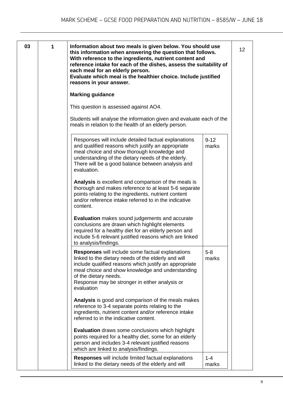| 03 | 1 | Information about two meals is given below. You should use<br>this information when answering the question that follows.<br>With reference to the ingredients, nutrient content and<br>reference intake for each of the dishes, assess the suitability of<br>each meal for an elderly person.<br>Evaluate which meal is the healthier choice. Include justified<br>reasons in your answer. |                   | 12 <sub>2</sub> |
|----|---|--------------------------------------------------------------------------------------------------------------------------------------------------------------------------------------------------------------------------------------------------------------------------------------------------------------------------------------------------------------------------------------------|-------------------|-----------------|
|    |   | <b>Marking guidance</b>                                                                                                                                                                                                                                                                                                                                                                    |                   |                 |
|    |   | This question is assessed against AO4.                                                                                                                                                                                                                                                                                                                                                     |                   |                 |
|    |   | Students will analyse the information given and evaluate each of the<br>meals in relation to the health of an elderly person.                                                                                                                                                                                                                                                              |                   |                 |
|    |   | Responses will include detailed factual explanations<br>and qualified reasons which justify an appropriate<br>meal choice and show thorough knowledge and<br>understanding of the dietary needs of the elderly.<br>There will be a good balance between analysis and<br>evaluation.                                                                                                        | $9 - 12$<br>marks |                 |
|    |   | Analysis is excellent and comparison of the meals is<br>thorough and makes reference to at least 5-6 separate<br>points relating to the ingredients, nutrient content<br>and/or reference intake referred to in the indicative<br>content.                                                                                                                                                 |                   |                 |
|    |   | <b>Evaluation</b> makes sound judgements and accurate<br>conclusions are drawn which highlight elements<br>required for a healthy diet for an elderly person and<br>include 5-6 relevant justified reasons which are linked<br>to analysis/findings.                                                                                                                                       |                   |                 |
|    |   | Responses will include some factual explanations<br>linked to the dietary needs of the elderly and will<br>include qualified reasons which justify an appropriate<br>meal choice and show knowledge and understanding<br>of the dietary needs.<br>Response may be stronger in either analysis or<br>evaluation                                                                             | $5 - 8$<br>marks  |                 |
|    |   | <b>Analysis</b> is good and comparison of the meals makes<br>reference to 3-4 separate points relating to the<br>ingredients, nutrient content and/or reference intake<br>referred to in the indicative content.                                                                                                                                                                           |                   |                 |
|    |   | <b>Evaluation</b> draws some conclusions which highlight<br>points required for a healthy diet, some for an elderly<br>person and includes 3-4 relevant justified reasons<br>which are linked to analysis/findings.                                                                                                                                                                        |                   |                 |
|    |   | <b>Responses</b> will include limited factual explanations<br>linked to the dietary needs of the elderly and will                                                                                                                                                                                                                                                                          | $1 - 4$<br>marks  |                 |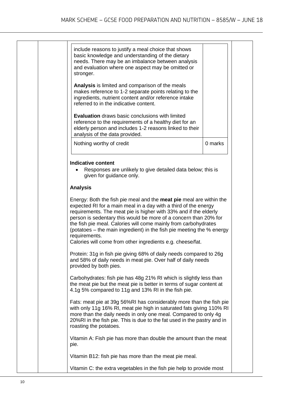| include reasons to justify a meal choice that shows<br>basic knowledge and understanding of the dietary<br>needs. There may be an imbalance between analysis<br>and evaluation where one aspect may be omitted or<br>stronger.                                                                                      |         |
|---------------------------------------------------------------------------------------------------------------------------------------------------------------------------------------------------------------------------------------------------------------------------------------------------------------------|---------|
| Analysis is limited and comparison of the meals<br>makes reference to 1-2 separate points relating to the<br>ingredients, nutrient content and/or reference intake<br>referred to in the indicative content.                                                                                                        |         |
| <b>Evaluation</b> draws basic conclusions with limited<br>reference to the requirements of a healthy diet for an<br>elderly person and includes 1-2 reasons linked to their<br>analysis of the data provided.                                                                                                       |         |
| Nothing worthy of credit                                                                                                                                                                                                                                                                                            | 0 marks |
| <b>Analysis</b><br>Energy: Both the fish pie meal and the meat pie meal are within the<br>expected RI for a main meal in a day with a third of the energy<br>requirements. The meat pie is higher with 33% and if the elderly<br>person is sedentary this would be more of a concern than 20% for                   |         |
| the fish pie meal. Calories will come mainly from carbohydrates<br>(potatoes – the main ingredient) in the fish pie meeting the % energy<br>requirements.<br>Calories will come from other ingredients e.g. cheese/fat.                                                                                             |         |
| Protein: 31g in fish pie giving 68% of daily needs compared to 26g<br>and 58% of daily needs in meat pie. Over half of daily needs<br>provided by both pies.                                                                                                                                                        |         |
| Carbohydrates: fish pie has 48g 21% RI which is slightly less than<br>the meat pie but the meat pie is better in terms of sugar content at<br>4.1g 5% compared to 11g and 13% RI in the fish pie.                                                                                                                   |         |
| Fats: meat pie at 39g 56%RI has considerably more than the fish pie<br>with only 11g 16% RI, meat pie high in saturated fats giving 110% RI<br>more than the daily needs in only one meal. Compared to only 4g<br>20%RI in the fish pie. This is due to the fat used in the pastry and in<br>roasting the potatoes. |         |
| Vitamin A: Fish pie has more than double the amount than the meat<br>pie.                                                                                                                                                                                                                                           |         |
| Vitamin B12: fish pie has more than the meat pie meal.                                                                                                                                                                                                                                                              |         |
| Vitamin C: the extra vegetables in the fish pie help to provide most                                                                                                                                                                                                                                                |         |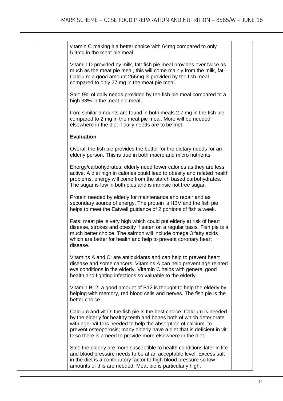|  | vitamin C making it a better choice with 64mg compared to only<br>5.9mg in the meat pie meal.                                                                                                                                                                                                                                                              |  |
|--|------------------------------------------------------------------------------------------------------------------------------------------------------------------------------------------------------------------------------------------------------------------------------------------------------------------------------------------------------------|--|
|  | Vitamin D provided by milk, fat: fish pie meal provides over twice as<br>much as the meat pie meal, this will come mainly from the milk, fat.<br>Calcium: a good amount 266mg is provided by the fish meal<br>compared to only 27 mg in the meat pie meal.                                                                                                 |  |
|  | Salt: 9% of daily needs provided by the fish pie meal compared to a<br>high 33% in the meat pie meal.                                                                                                                                                                                                                                                      |  |
|  | Iron: similar amounts are found in both meals 2.7 mg in the fish pie<br>compared to 2 mg in the meat pie meal. More will be needed<br>elsewhere in the diet if daily needs are to be met.                                                                                                                                                                  |  |
|  | <b>Evaluation</b>                                                                                                                                                                                                                                                                                                                                          |  |
|  | Overall the fish pie provides the better for the dietary needs for an<br>elderly person. This is true in both macro and micro nutrients.                                                                                                                                                                                                                   |  |
|  | Energy/carbohydrates: elderly need fewer calories as they are less<br>active. A diet high in calories could lead to obesity and related health<br>problems, energy will come from the starch based carbohydrates.<br>The sugar is low in both pies and is intrinsic not free sugar.                                                                        |  |
|  | Protein needed by elderly for maintenance and repair and as<br>secondary source of energy. The protein is HBV and the fish pie<br>helps to meet the Eatwell guidance of 2 portions of fish a week.                                                                                                                                                         |  |
|  | Fats: meat pie is very high which could put elderly at risk of heart<br>disease, strokes and obesity if eaten on a regular basis. Fish pie is a<br>much better choice. The salmon will include omega 3 fatty acids<br>which are better for health and help to prevent coronary heart<br>disease.                                                           |  |
|  | Vitamins A and C: are antioxidants and can help to prevent heart<br>disease and some cancers. Vitamins A can help prevent age related<br>eye conditions in the elderly. Vitamin C helps with general good<br>health and fighting infections so valuable to the elderly.                                                                                    |  |
|  | Vitamin B12: a good amount of B12 is thought to help the elderly by<br>helping with memory, red blood cells and nerves. The fish pie is the<br>better choice.                                                                                                                                                                                              |  |
|  | Calcium and vit D: the fish pie is the best choice. Calcium is needed<br>by the elderly for healthy teeth and bones both of which deteriorate<br>with age. Vit D is needed to help the absorption of calcium, to<br>prevent osteoporosis; many elderly have a diet that is deficient in vit<br>D so there is a need to provide more elsewhere in the diet. |  |
|  | Salt: the elderly are more susceptible to health conditions later in life<br>and blood pressure needs to be at an acceptable level. Excess salt<br>in the diet is a contributory factor to high blood pressure so low<br>amounts of this are needed, Meat pie is particularly high.                                                                        |  |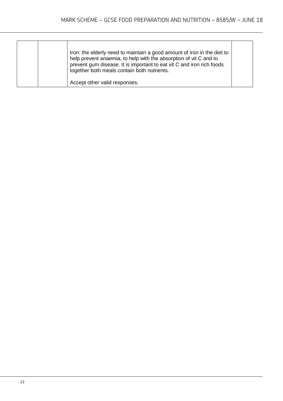| Iron: the elderly need to maintain a good amount of iron in the diet to<br>help prevent anaemia, to help with the absorption of vit C and to<br>prevent gum disease. It is important to eat vit C and iron rich foods<br>together both meals contain both nutrients. |  |
|----------------------------------------------------------------------------------------------------------------------------------------------------------------------------------------------------------------------------------------------------------------------|--|
| Accept other valid responses.                                                                                                                                                                                                                                        |  |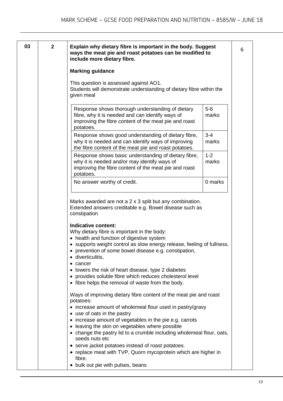| 03<br>$\mathbf{2}$ | Explain why dietary fibre is important in the body. Suggest<br>ways the meat pie and roast potatoes can be modified to<br>include more dietary fibre.                                                                                                                                                                                                                                                                                                                              |                  |
|--------------------|------------------------------------------------------------------------------------------------------------------------------------------------------------------------------------------------------------------------------------------------------------------------------------------------------------------------------------------------------------------------------------------------------------------------------------------------------------------------------------|------------------|
|                    | <b>Marking guidance</b>                                                                                                                                                                                                                                                                                                                                                                                                                                                            |                  |
|                    | This question is assessed against AO1.<br>Students will demonstrate understanding of dietary fibre within the<br>given meal                                                                                                                                                                                                                                                                                                                                                        |                  |
|                    | Response shows thorough understanding of dietary<br>fibre, why it is needed and can identify ways of<br>improving the fibre content of the meat pie and roast<br>potatoes.                                                                                                                                                                                                                                                                                                         | $5-6$<br>marks   |
|                    | Response shows good understanding of dietary fibre,<br>why it is needed and can identify ways of improving<br>the fibre content of the meat pie and roast potatoes.                                                                                                                                                                                                                                                                                                                | $3 - 4$<br>marks |
|                    | Response shows basic understanding of dietary fibre,<br>why it is needed and/or may identify ways of<br>improving the fibre content of the meat pie and roast<br>potatoes.                                                                                                                                                                                                                                                                                                         | $1 - 2$<br>marks |
|                    | No answer worthy of credit.                                                                                                                                                                                                                                                                                                                                                                                                                                                        | 0 marks          |
|                    | constipation<br>Indicative content:<br>Why dietary fibre is important in the body:<br>• health and function of digestive system<br>• supports weight control as slow energy release, feeling of fullness.<br>• prevention of some bowel disease e.g. constipation,<br>· diverticulitis,<br>cancer<br>lowers the risk of heart disease, type 2 diabetes<br>provides soluble fibre which reduces cholesterol level<br>$\bullet$<br>• fibre helps the removal of waste from the body. |                  |
|                    |                                                                                                                                                                                                                                                                                                                                                                                                                                                                                    |                  |
|                    | Ways of improving dietary fibre content of the meat pie and roast<br>potatoes:<br>increase amount of wholemeal flour used in pastry/gravy<br>• use of oats in the pastry<br>• increase amount of vegetables in the pie e.g. carrots<br>• leaving the skin on vegetables where possible                                                                                                                                                                                             |                  |
|                    | • change the pastry lid to a crumble including wholemeal flour, oats,<br>seeds nuts etc<br>• serve jacket potatoes instead of roast potatoes.                                                                                                                                                                                                                                                                                                                                      |                  |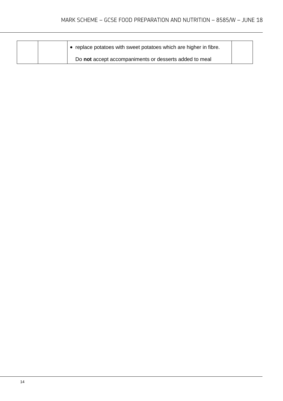|  | replace potatoes with sweet potatoes which are higher in fibre. |  |
|--|-----------------------------------------------------------------|--|
|  | Do not accept accompaniments or desserts added to meal          |  |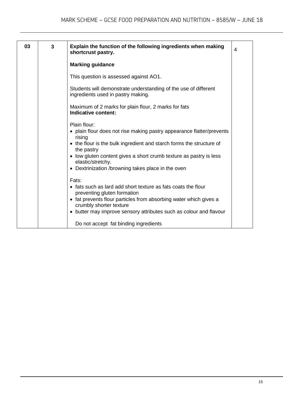| 03 | 3 | Explain the function of the following ingredients when making<br>shortcrust pastry.                                                                                                                                                                                                                                                    | 4 |
|----|---|----------------------------------------------------------------------------------------------------------------------------------------------------------------------------------------------------------------------------------------------------------------------------------------------------------------------------------------|---|
|    |   | <b>Marking guidance</b>                                                                                                                                                                                                                                                                                                                |   |
|    |   | This question is assessed against AO1.                                                                                                                                                                                                                                                                                                 |   |
|    |   | Students will demonstrate understanding of the use of different<br>ingredients used in pastry making.                                                                                                                                                                                                                                  |   |
|    |   | Maximum of 2 marks for plain flour, 2 marks for fats<br>Indicative content:                                                                                                                                                                                                                                                            |   |
|    |   | Plain flour:<br>• plain flour does not rise making pastry appearance flatter/prevents<br>rising<br>• the flour is the bulk ingredient and starch forms the structure of<br>the pastry<br>• low gluten content gives a short crumb texture as pastry is less<br>elastic/stretchy.<br>• Dextrinization /browning takes place in the oven |   |
|    |   | Fats:<br>• fats such as lard add short texture as fats coats the flour<br>preventing gluten formation<br>• fat prevents flour particles from absorbing water which gives a<br>crumbly shorter texture<br>• butter may improve sensory attributes such as colour and flavour                                                            |   |
|    |   | Do not accept fat binding ingredients                                                                                                                                                                                                                                                                                                  |   |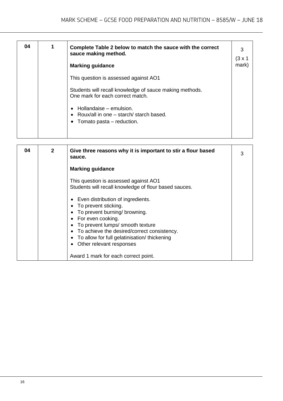| 04 | Complete Table 2 below to match the sauce with the correct<br>sauce making method.<br><b>Marking guidance</b>                        | 3<br>$(3 \times 1)$<br>mark) |
|----|--------------------------------------------------------------------------------------------------------------------------------------|------------------------------|
|    | This question is assessed against AO1<br>Students will recall knowledge of sauce making methods.<br>One mark for each correct match. |                              |
|    | Hollandaise - emulsion.<br>• Roux/all in one – starch/ starch based.<br>• Tomato pasta $-$ reduction.                                |                              |

| 04 | $\mathbf{2}$ | Give three reasons why it is important to stir a flour based<br>sauce.                                                                                                                                                                                                             | 3 |
|----|--------------|------------------------------------------------------------------------------------------------------------------------------------------------------------------------------------------------------------------------------------------------------------------------------------|---|
|    |              | <b>Marking guidance</b>                                                                                                                                                                                                                                                            |   |
|    |              | This question is assessed against AO1<br>Students will recall knowledge of flour based sauces.                                                                                                                                                                                     |   |
|    |              | Even distribution of ingredients.<br>To prevent sticking.<br>To prevent burning/ browning.<br>• For even cooking.<br>To prevent lumps/ smooth texture<br>• To achieve the desired/correct consistency.<br>To allow for full gelatinisation/ thickening<br>Other relevant responses |   |
|    |              | Award 1 mark for each correct point.                                                                                                                                                                                                                                               |   |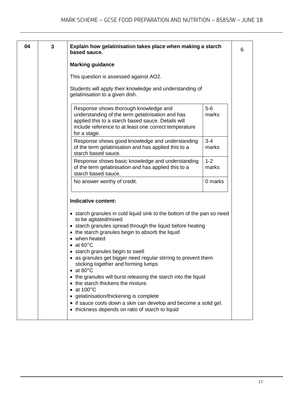| 3 | Explain how gelatinisation takes place when making a starch<br>based sauce.                                                                                                                                              |                  |
|---|--------------------------------------------------------------------------------------------------------------------------------------------------------------------------------------------------------------------------|------------------|
|   | <b>Marking guidance</b>                                                                                                                                                                                                  |                  |
|   | This question is assessed against AO2.                                                                                                                                                                                   |                  |
|   | Students will apply their knowledge and understanding of<br>gelatinisation to a given dish.                                                                                                                              |                  |
|   | Response shows thorough knowledge and<br>understanding of the term gelatinisation and has<br>applied this to a starch based sauce. Details will<br>include reference to at least one correct temperature<br>for a stage. | $5-6$<br>marks   |
|   | Response shows good knowledge and understanding<br>of the term gelatinisation and has applied this to a<br>starch based sauce.                                                                                           | $3 - 4$<br>marks |
|   | Response shows basic knowledge and understanding<br>of the term gelatinisation and has applied this to a<br>starch based sauce.                                                                                          | $1 - 2$<br>marks |
|   | No answer worthy of credit.                                                                                                                                                                                              | 0 marks          |
|   | Indicative content:<br>• starch granules in cold liquid sink to the bottom of the pan so need<br>to be agitated/mixed                                                                                                    |                  |
|   |                                                                                                                                                                                                                          |                  |
|   | • starch granules spread through the liquid before heating<br>• the starch granules begin to absorb the liquid<br>• when heated<br>$\bullet$ at 60 $^{\circ}$ C                                                          |                  |
|   | starch granules begin to swell<br>• as granules get bigger need regular stirring to prevent them<br>sticking together and forming lumps<br>• at 80 $^{\circ}$ C                                                          |                  |
|   | • the granules will burst releasing the starch into the liquid<br>• the starch thickens the mixture.<br>$\bullet$ at 100 $^{\circ}$ C                                                                                    |                  |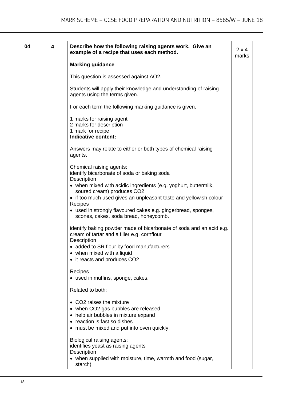| 04 | 4 | Describe how the following raising agents work. Give an<br>example of a recipe that uses each method.                                                     | $2 \times 4$<br>marks |
|----|---|-----------------------------------------------------------------------------------------------------------------------------------------------------------|-----------------------|
|    |   | <b>Marking guidance</b>                                                                                                                                   |                       |
|    |   | This question is assessed against AO2.                                                                                                                    |                       |
|    |   | Students will apply their knowledge and understanding of raising<br>agents using the terms given.                                                         |                       |
|    |   | For each term the following marking guidance is given.                                                                                                    |                       |
|    |   | 1 marks for raising agent<br>2 marks for description<br>1 mark for recipe<br>Indicative content:                                                          |                       |
|    |   | Answers may relate to either or both types of chemical raising<br>agents.                                                                                 |                       |
|    |   | Chemical raising agents:<br>identify bicarbonate of soda or baking soda<br>Description<br>• when mixed with acidic ingredients (e.g. yoghurt, buttermilk, |                       |
|    |   | soured cream) produces CO2<br>• if too much used gives an unpleasant taste and yellowish colour                                                           |                       |
|    |   | <b>Recipes</b><br>• used in strongly flavoured cakes e.g. gingerbread, sponges,<br>scones, cakes, soda bread, honeycomb.                                  |                       |
|    |   | identify baking powder made of bicarbonate of soda and an acid e.g.<br>cream of tartar and a filler e.g. cornflour<br>Description                         |                       |
|    |   | • added to SR flour by food manufacturers                                                                                                                 |                       |
|    |   | • when mixed with a liquid<br>• it reacts and produces CO2                                                                                                |                       |
|    |   |                                                                                                                                                           |                       |
|    |   | Recipes<br>• used in muffins, sponge, cakes.                                                                                                              |                       |
|    |   | Related to both:                                                                                                                                          |                       |
|    |   | • CO2 raises the mixture                                                                                                                                  |                       |
|    |   | • when CO2 gas bubbles are released                                                                                                                       |                       |
|    |   | • help air bubbles in mixture expand<br>• reaction is fast so dishes                                                                                      |                       |
|    |   | • must be mixed and put into oven quickly.                                                                                                                |                       |
|    |   | Biological raising agents:                                                                                                                                |                       |
|    |   | identifies yeast as raising agents                                                                                                                        |                       |
|    |   | Description<br>• when supplied with moisture, time, warmth and food (sugar,<br>starch)                                                                    |                       |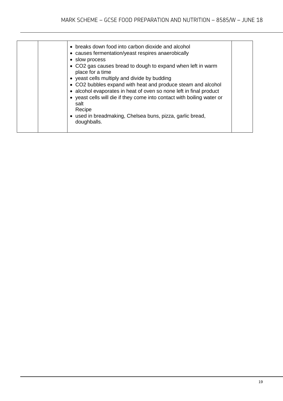| • breaks down food into carbon dioxide and alcohol<br>• causes fermentation/yeast respires anaerobically<br>• slow process<br>• CO2 gas causes bread to dough to expand when left in warm<br>place for a time<br>• yeast cells multiply and divide by budding<br>• CO2 bubbles expand with heat and produce steam and alcohol<br>• alcohol evaporates in heat of oven so none left in final product<br>• yeast cells will die if they come into contact with boiling water or<br>salt<br>Recipe<br>• used in breadmaking, Chelsea buns, pizza, garlic bread,<br>doughballs. |  |
|-----------------------------------------------------------------------------------------------------------------------------------------------------------------------------------------------------------------------------------------------------------------------------------------------------------------------------------------------------------------------------------------------------------------------------------------------------------------------------------------------------------------------------------------------------------------------------|--|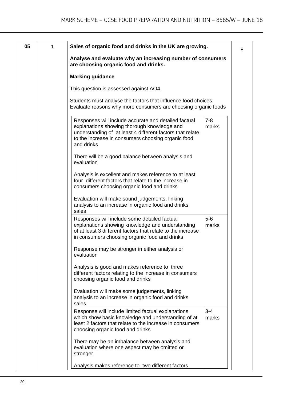| 05 | 1 | Sales of organic food and drinks in the UK are growing.                                                                                                                                                                                                  | 8 |
|----|---|----------------------------------------------------------------------------------------------------------------------------------------------------------------------------------------------------------------------------------------------------------|---|
|    |   | Analyse and evaluate why an increasing number of consumers<br>are choosing organic food and drinks.                                                                                                                                                      |   |
|    |   | <b>Marking guidance</b>                                                                                                                                                                                                                                  |   |
|    |   | This question is assessed against AO4.                                                                                                                                                                                                                   |   |
|    |   | Students must analyse the factors that influence food choices.<br>Evaluate reasons why more consumers are choosing organic foods                                                                                                                         |   |
|    |   | Responses will include accurate and detailed factual<br>$7 - 8$<br>explanations showing thorough knowledge and<br>marks<br>understanding of at least 4 different factors that relate<br>to the increase in consumers choosing organic food<br>and drinks |   |
|    |   | There will be a good balance between analysis and<br>evaluation                                                                                                                                                                                          |   |
|    |   | Analysis is excellent and makes reference to at least<br>four different factors that relate to the increase in<br>consumers choosing organic food and drinks                                                                                             |   |
|    |   | Evaluation will make sound judgements, linking<br>analysis to an increase in organic food and drinks<br>sales                                                                                                                                            |   |
|    |   | $5-6$<br>Responses will include some detailed factual<br>explanations showing knowledge and understanding<br>marks<br>of at least 3 different factors that relate to the increase<br>in consumers choosing organic food and drinks                       |   |
|    |   | Response may be stronger in either analysis or<br>evaluation                                                                                                                                                                                             |   |
|    |   | Analysis is good and makes reference to three<br>different factors relating to the increase in consumers<br>choosing organic food and drinks                                                                                                             |   |
|    |   | Evaluation will make some judgements, linking<br>analysis to an increase in organic food and drinks<br>sales                                                                                                                                             |   |
|    |   | Response will include limited factual explanations<br>$3 - 4$<br>which show basic knowledge and understanding of at<br>marks<br>least 2 factors that relate to the increase in consumers<br>choosing organic food and drinks                             |   |
|    |   | There may be an imbalance between analysis and<br>evaluation where one aspect may be omitted or<br>stronger                                                                                                                                              |   |
|    |   | Analysis makes reference to two different factors                                                                                                                                                                                                        |   |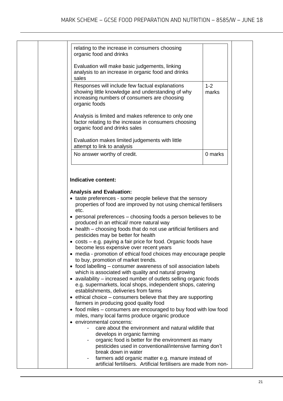| organic food and drinks             | relating to the increase in consumers choosing                                                                                                                                            |                                                            |                  |
|-------------------------------------|-------------------------------------------------------------------------------------------------------------------------------------------------------------------------------------------|------------------------------------------------------------|------------------|
| sales                               | Evaluation will make basic judgements, linking<br>analysis to an increase in organic food and drinks                                                                                      |                                                            |                  |
| organic foods                       | Responses will include few factual explanations<br>showing little knowledge and understanding of why<br>increasing numbers of consumers are choosing                                      |                                                            | $1 - 2$<br>marks |
| organic food and drinks sales       | Analysis is limited and makes reference to only one<br>factor relating to the increase in consumers choosing                                                                              |                                                            |                  |
| attempt to link to analysis         | Evaluation makes limited judgements with little                                                                                                                                           |                                                            |                  |
| No answer worthy of credit.         |                                                                                                                                                                                           |                                                            | 0 marks          |
| etc.                                | properties of food are improved by not using chemical fertilisers                                                                                                                         | • taste preferences - some people believe that the sensory |                  |
|                                     | • personal preferences – choosing foods a person believes to be<br>produced in an ethical/ more natural way                                                                               |                                                            |                  |
| pesticides may be better for health | • health – choosing foods that do not use artificial fertilisers and                                                                                                                      |                                                            |                  |
|                                     | • costs – e.g. paying a fair price for food. Organic foods have<br>become less expensive over recent years<br>• media - promotion of ethical food choices may encourage people            |                                                            |                  |
| to buy, promotion of market trends. | • food labelling – consumer awareness of soil association labels                                                                                                                          |                                                            |                  |
|                                     | which is associated with quality and natural growing<br>• availability – increased number of outlets selling organic foods<br>e.g. supermarkets, local shops, independent shops, catering |                                                            |                  |
|                                     | establishments, deliveries from farms<br>$\bullet$ ethical choice – consumers believe that they are supporting                                                                            |                                                            |                  |
|                                     | farmers in producing good quality food<br>• food miles – consumers are encouraged to buy food with low food<br>miles, many local farms produce organic produce                            |                                                            |                  |
| • environmental concerns:           | care about the environment and natural wildlife that                                                                                                                                      |                                                            |                  |
|                                     | develops in organic farming<br>organic food is better for the environment as many<br>pesticides used in conventional/intensive farming don't<br>break down in water                       |                                                            |                  |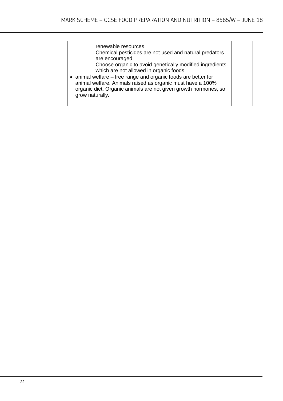| renewable resources<br>Chemical pesticides are not used and natural predators<br>$\overline{\phantom{a}}$<br>are encouraged<br>Choose organic to avoid genetically modified ingredients<br>$\blacksquare$<br>which are not allowed in organic foods<br>• animal welfare – free range and organic foods are better for<br>animal welfare. Animals raised as organic must have a 100%<br>organic diet. Organic animals are not given growth hormones, so<br>grow naturally. |  |
|---------------------------------------------------------------------------------------------------------------------------------------------------------------------------------------------------------------------------------------------------------------------------------------------------------------------------------------------------------------------------------------------------------------------------------------------------------------------------|--|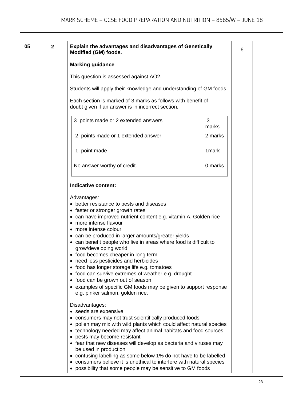| 05 | $\overline{2}$ | <b>Explain the advantages and disadvantages of Genetically</b>                                                                                                                                                                                                                                                                                                                                                                                                                                                                                                                                                                                                                                           | 6 |
|----|----------------|----------------------------------------------------------------------------------------------------------------------------------------------------------------------------------------------------------------------------------------------------------------------------------------------------------------------------------------------------------------------------------------------------------------------------------------------------------------------------------------------------------------------------------------------------------------------------------------------------------------------------------------------------------------------------------------------------------|---|
|    |                | <b>Modified (GM) foods.</b>                                                                                                                                                                                                                                                                                                                                                                                                                                                                                                                                                                                                                                                                              |   |
|    |                | <b>Marking guidance</b>                                                                                                                                                                                                                                                                                                                                                                                                                                                                                                                                                                                                                                                                                  |   |
|    |                | This question is assessed against AO2.                                                                                                                                                                                                                                                                                                                                                                                                                                                                                                                                                                                                                                                                   |   |
|    |                | Students will apply their knowledge and understanding of GM foods.                                                                                                                                                                                                                                                                                                                                                                                                                                                                                                                                                                                                                                       |   |
|    |                | Each section is marked of 3 marks as follows with benefit of<br>doubt given if an answer is in incorrect section.                                                                                                                                                                                                                                                                                                                                                                                                                                                                                                                                                                                        |   |
|    |                | 3<br>3 points made or 2 extended answers<br>marks                                                                                                                                                                                                                                                                                                                                                                                                                                                                                                                                                                                                                                                        |   |
|    |                | 2 points made or 1 extended answer<br>2 marks                                                                                                                                                                                                                                                                                                                                                                                                                                                                                                                                                                                                                                                            |   |
|    |                | 1 <sub>mark</sub><br>1 point made                                                                                                                                                                                                                                                                                                                                                                                                                                                                                                                                                                                                                                                                        |   |
|    |                | No answer worthy of credit.<br>0 marks                                                                                                                                                                                                                                                                                                                                                                                                                                                                                                                                                                                                                                                                   |   |
|    |                | Indicative content:                                                                                                                                                                                                                                                                                                                                                                                                                                                                                                                                                                                                                                                                                      |   |
|    |                | Advantages:<br>• better resistance to pests and diseases<br>• faster or stronger growth rates<br>• can have improved nutrient content e.g. vitamin A, Golden rice<br>• more intense flavour<br>more intense colour<br>• can be produced in larger amounts/greater yields<br>can benefit people who live in areas where food is difficult to<br>grow/developing world<br>• food becomes cheaper in long term<br>• need less pesticides and herbicides<br>• food has longer storage life e.g. tomatoes<br>• food can survive extremes of weather e.g. drought<br>• food can be grown out of season<br>• examples of specific GM foods may be given to support response<br>e.g. pinker salmon, golden rice. |   |
|    |                | Disadvantages:<br>• seeds are expensive<br>consumers may not trust scientifically produced foods<br>• pollen may mix with wild plants which could affect natural species<br>• technology needed may affect animal habitats and food sources<br>• pests may become resistant<br>• fear that new diseases will develop as bacteria and viruses may<br>be used in production<br>• confusing labelling as some below 1% do not have to be labelled<br>• consumers believe it is unethical to interfere with natural species<br>• possibility that some people may be sensitive to GM foods                                                                                                                   |   |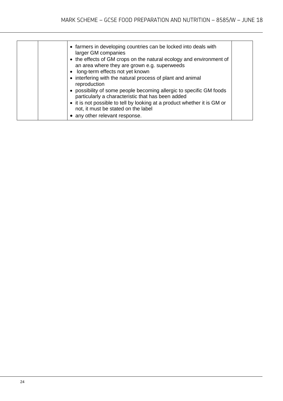| • farmers in developing countries can be locked into deals with<br>larger GM companies<br>• the effects of GM crops on the natural ecology and environment of<br>an area where they are grown e.g. superweeds<br>• long-term effects not yet known<br>• interfering with the natural process of plant and animal<br>reproduction |  |
|----------------------------------------------------------------------------------------------------------------------------------------------------------------------------------------------------------------------------------------------------------------------------------------------------------------------------------|--|
| • possibility of some people becoming allergic to specific GM foods<br>particularly a characteristic that has been added<br>• it is not possible to tell by looking at a product whether it is GM or<br>not, it must be stated on the label<br>• any other relevant response.                                                    |  |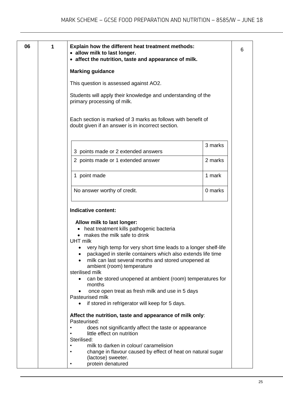| 06 | 1 | Explain how the different heat treatment methods:<br>· allow milk to last longer.<br>• affect the nutrition, taste and appearance of milk.                                                                                                                                                                                                                                                                                                                                                                                                                                              |         | 6 |
|----|---|-----------------------------------------------------------------------------------------------------------------------------------------------------------------------------------------------------------------------------------------------------------------------------------------------------------------------------------------------------------------------------------------------------------------------------------------------------------------------------------------------------------------------------------------------------------------------------------------|---------|---|
|    |   | <b>Marking guidance</b>                                                                                                                                                                                                                                                                                                                                                                                                                                                                                                                                                                 |         |   |
|    |   | This question is assessed against AO2.                                                                                                                                                                                                                                                                                                                                                                                                                                                                                                                                                  |         |   |
|    |   | Students will apply their knowledge and understanding of the<br>primary processing of milk.                                                                                                                                                                                                                                                                                                                                                                                                                                                                                             |         |   |
|    |   | Each section is marked of 3 marks as follows with benefit of<br>doubt given if an answer is in incorrect section.                                                                                                                                                                                                                                                                                                                                                                                                                                                                       |         |   |
|    |   | 3 points made or 2 extended answers                                                                                                                                                                                                                                                                                                                                                                                                                                                                                                                                                     | 3 marks |   |
|    |   | 2 points made or 1 extended answer                                                                                                                                                                                                                                                                                                                                                                                                                                                                                                                                                      | 2 marks |   |
|    |   | 1 point made                                                                                                                                                                                                                                                                                                                                                                                                                                                                                                                                                                            | 1 mark  |   |
|    |   | No answer worthy of credit.                                                                                                                                                                                                                                                                                                                                                                                                                                                                                                                                                             | 0 marks |   |
|    |   | Indicative content:                                                                                                                                                                                                                                                                                                                                                                                                                                                                                                                                                                     |         |   |
|    |   | Allow milk to last longer:<br>heat treatment kills pathogenic bacteria<br>$\bullet$<br>makes the milk safe to drink<br>UHT milk<br>very high temp for very short time leads to a longer shelf-life<br>packaged in sterile containers which also extends life time<br>milk can last several months and stored unopened at<br>ambient (room) temperature<br>sterilised milk<br>can be stored unopened at ambient (room) temperatures for<br>months<br>once open treat as fresh milk and use in 5 days<br>Pasteurised milk<br>if stored in refrigerator will keep for 5 days.<br>$\bullet$ |         |   |
|    |   | Affect the nutrition, taste and appearance of milk only:<br>Pasteurised:<br>does not significantly affect the taste or appearance<br>little effect on nutrition<br>Sterilised:<br>milk to darken in colour/ caramelision<br>$\bullet$<br>change in flavour caused by effect of heat on natural sugar<br>(lactose) sweeter.<br>protein denatured                                                                                                                                                                                                                                         |         |   |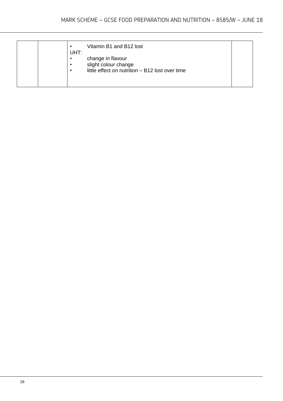| Vitamin B1 and B12 lost<br>UHT:<br>change in flavour<br>$\bullet$<br>slight colour change<br>$\bullet$<br>little effect on nutrition - B12 lost over time<br>$\bullet$ |  |
|------------------------------------------------------------------------------------------------------------------------------------------------------------------------|--|
|------------------------------------------------------------------------------------------------------------------------------------------------------------------------|--|